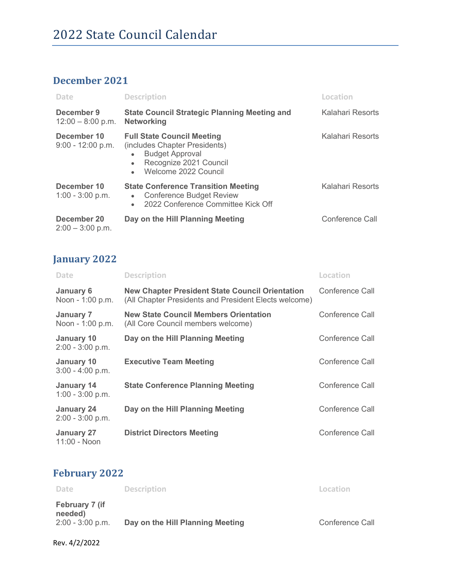#### **December 2021**

| Date                               | <b>Description</b>                                                                                                                                                                    | Location         |
|------------------------------------|---------------------------------------------------------------------------------------------------------------------------------------------------------------------------------------|------------------|
| December 9<br>$12:00 - 8:00$ p.m.  | <b>State Council Strategic Planning Meeting and</b><br><b>Networking</b>                                                                                                              | Kalahari Resorts |
| December 10<br>$9:00 - 12:00 p.m.$ | <b>Full State Council Meeting</b><br>(includes Chapter Presidents)<br><b>Budget Approval</b><br>$\bullet$<br>Recognize 2021 Council<br>$\bullet$<br>Welcome 2022 Council<br>$\bullet$ | Kalahari Resorts |
| December 10<br>$1:00 - 3:00$ p.m.  | <b>State Conference Transition Meeting</b><br><b>Conference Budget Review</b><br>$\bullet$<br>2022 Conference Committee Kick Off<br>$\bullet$                                         | Kalahari Resorts |
| December 20<br>$2:00 - 3:00$ p.m.  | Day on the Hill Planning Meeting                                                                                                                                                      | Conference Call  |

### **January 2022**

| <b>Date</b>                             | <b>Description</b>                                                                                              | Location        |
|-----------------------------------------|-----------------------------------------------------------------------------------------------------------------|-----------------|
| <b>January 6</b><br>Noon - 1:00 p.m.    | <b>New Chapter President State Council Orientation</b><br>(All Chapter Presidents and President Elects welcome) | Conference Call |
| <b>January 7</b><br>Noon - 1:00 p.m.    | <b>New State Council Members Orientation</b><br>(All Core Council members welcome)                              | Conference Call |
| <b>January 10</b><br>$2:00 - 3:00$ p.m. | Day on the Hill Planning Meeting                                                                                | Conference Call |
| <b>January 10</b><br>$3:00 - 4:00$ p.m. | <b>Executive Team Meeting</b>                                                                                   | Conference Call |
| <b>January 14</b><br>$1:00 - 3:00$ p.m. | <b>State Conference Planning Meeting</b>                                                                        | Conference Call |
| January 24<br>$2:00 - 3:00$ p.m.        | Day on the Hill Planning Meeting                                                                                | Conference Call |
| January 27<br>11:00 - Noon              | <b>District Directors Meeting</b>                                                                               | Conference Call |

### **February 2022**

| Date                                            | <b>Description</b>               | Location               |
|-------------------------------------------------|----------------------------------|------------------------|
| February 7 (if<br>needed)<br>$2:00 - 3:00$ p.m. | Day on the Hill Planning Meeting | <b>Conference Call</b> |

Rev. 4/2/2022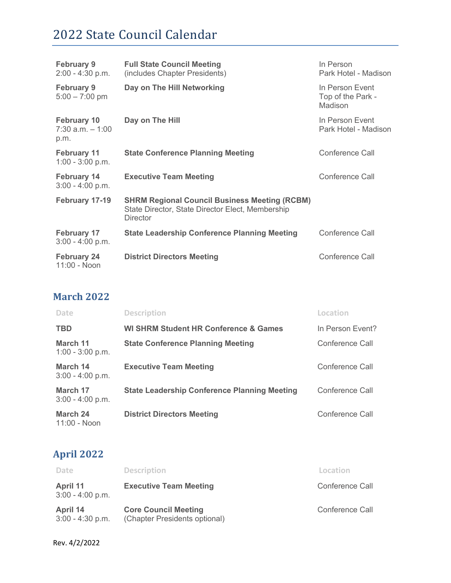| <b>February 9</b><br>$2:00 - 4:30$ p.m.           | <b>Full State Council Meeting</b><br>(includes Chapter Presidents)                                                          | In Person<br>Park Hotel - Madison               |
|---------------------------------------------------|-----------------------------------------------------------------------------------------------------------------------------|-------------------------------------------------|
| <b>February 9</b><br>$5:00 - 7:00$ pm             | Day on The Hill Networking                                                                                                  | In Person Event<br>Top of the Park -<br>Madison |
| <b>February 10</b><br>$7:30$ a.m. $-1:00$<br>p.m. | Day on The Hill                                                                                                             | In Person Event<br>Park Hotel - Madison         |
| <b>February 11</b><br>$1:00 - 3:00$ p.m.          | <b>State Conference Planning Meeting</b>                                                                                    | Conference Call                                 |
| <b>February 14</b><br>$3:00 - 4:00$ p.m.          | <b>Executive Team Meeting</b>                                                                                               | Conference Call                                 |
| February 17-19                                    | <b>SHRM Regional Council Business Meeting (RCBM)</b><br>State Director, State Director Elect, Membership<br><b>Director</b> |                                                 |
| <b>February 17</b><br>$3:00 - 4:00$ p.m.          | <b>State Leadership Conference Planning Meeting</b>                                                                         | Conference Call                                 |
| <b>February 24</b><br>11:00 - Noon                | <b>District Directors Meeting</b>                                                                                           | Conference Call                                 |

#### **March 2022**

| <b>Date</b>                    | <b>Description</b>                                  | Location         |
|--------------------------------|-----------------------------------------------------|------------------|
| <b>TBD</b>                     | <b>WI SHRM Student HR Conference &amp; Games</b>    | In Person Event? |
| March 11<br>$1:00 - 3:00$ p.m. | <b>State Conference Planning Meeting</b>            | Conference Call  |
| March 14<br>$3:00 - 4:00$ p.m. | <b>Executive Team Meeting</b>                       | Conference Call  |
| March 17<br>$3:00 - 4:00$ p.m. | <b>State Leadership Conference Planning Meeting</b> | Conference Call  |
| March 24<br>11:00 - Noon       | <b>District Directors Meeting</b>                   | Conference Call  |

## **April 2022**

| Date                                  | <b>Description</b>                                           | Location        |
|---------------------------------------|--------------------------------------------------------------|-----------------|
| <b>April 11</b><br>$3:00 - 4:00$ p.m. | <b>Executive Team Meeting</b>                                | Conference Call |
| April 14<br>$3:00 - 4:30$ p.m.        | <b>Core Council Meeting</b><br>(Chapter Presidents optional) | Conference Call |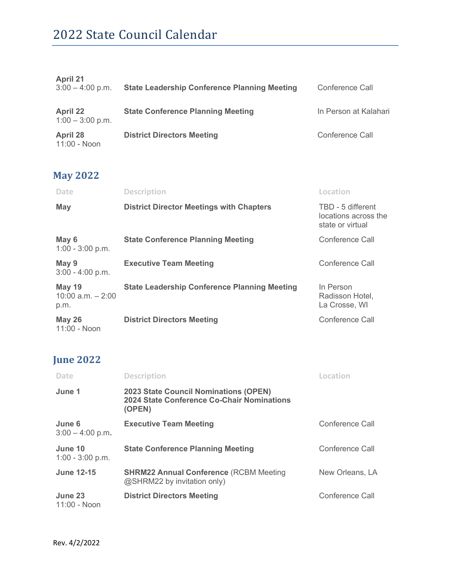| <b>April 21</b><br>$3:00 - 4:00$ p.m. | <b>State Leadership Conference Planning Meeting</b> | Conference Call       |
|---------------------------------------|-----------------------------------------------------|-----------------------|
| <b>April 22</b><br>$1:00 - 3:00$ p.m. | <b>State Conference Planning Meeting</b>            | In Person at Kalahari |
| April 28<br>11:00 - Noon              | <b>District Directors Meeting</b>                   | Conference Call       |

## **May 2022**

| <b>Date</b>                                   | <b>Description</b>                                  | Location                                                      |
|-----------------------------------------------|-----------------------------------------------------|---------------------------------------------------------------|
| May                                           | <b>District Director Meetings with Chapters</b>     | TBD - 5 different<br>locations across the<br>state or virtual |
| May 6<br>$1:00 - 3:00$ p.m.                   | <b>State Conference Planning Meeting</b>            | Conference Call                                               |
| May 9<br>$3:00 - 4:00$ p.m.                   | <b>Executive Team Meeting</b>                       | Conference Call                                               |
| <b>May 19</b><br>$10:00$ a.m. $-2:00$<br>p.m. | <b>State Leadership Conference Planning Meeting</b> | In Person<br>Radisson Hotel,<br>La Crosse, WI                 |
| <b>May 26</b><br>11:00 - Noon                 | <b>District Directors Meeting</b>                   | Conference Call                                               |

### **June 2022**

| Date                          | <b>Description</b>                                                                                          | Location        |
|-------------------------------|-------------------------------------------------------------------------------------------------------------|-----------------|
| June 1                        | <b>2023 State Council Nominations (OPEN)</b><br><b>2024 State Conference Co-Chair Nominations</b><br>(OPEN) |                 |
| June 6<br>$3:00 - 4:00$ p.m.  | <b>Executive Team Meeting</b>                                                                               | Conference Call |
| June 10<br>$1:00 - 3:00$ p.m. | <b>State Conference Planning Meeting</b>                                                                    | Conference Call |
| <b>June 12-15</b>             | <b>SHRM22 Annual Conference (RCBM Meeting</b><br>@SHRM22 by invitation only)                                | New Orleans, LA |
| June 23<br>11:00 - Noon       | <b>District Directors Meeting</b>                                                                           | Conference Call |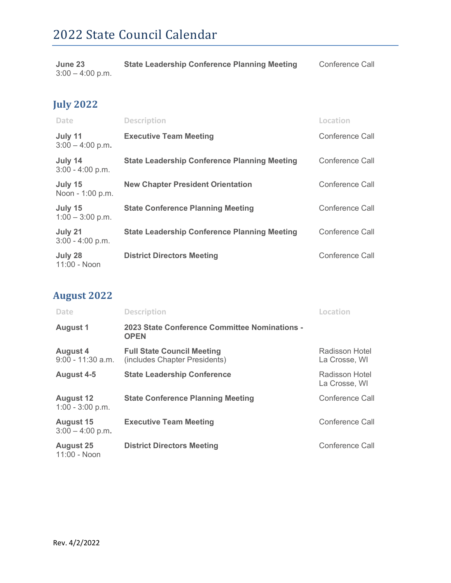| June 23            | <b>State Leadership Conference Planning Meeting</b> | Conference Call |
|--------------------|-----------------------------------------------------|-----------------|
| $3:00 - 4:00$ p.m. |                                                     |                 |

## **July 2022**

| <b>Date</b>                   | <b>Description</b>                                  | Location        |
|-------------------------------|-----------------------------------------------------|-----------------|
| July 11<br>$3:00 - 4:00$ p.m. | <b>Executive Team Meeting</b>                       | Conference Call |
| July 14<br>$3:00 - 4:00$ p.m. | <b>State Leadership Conference Planning Meeting</b> | Conference Call |
| July 15<br>Noon - 1:00 p.m.   | <b>New Chapter President Orientation</b>            | Conference Call |
| July 15<br>$1:00 - 3:00$ p.m. | <b>State Conference Planning Meeting</b>            | Conference Call |
| July 21<br>$3:00 - 4:00$ p.m. | <b>State Leadership Conference Planning Meeting</b> | Conference Call |
| July 28<br>11:00 - Noon       | <b>District Directors Meeting</b>                   | Conference Call |

## **August 2022**

| Date                                   | <b>Description</b>                                                 | Location                        |
|----------------------------------------|--------------------------------------------------------------------|---------------------------------|
| <b>August 1</b>                        | 2023 State Conference Committee Nominations -<br><b>OPEN</b>       |                                 |
| <b>August 4</b><br>$9:00 - 11:30$ a.m. | <b>Full State Council Meeting</b><br>(includes Chapter Presidents) | Radisson Hotel<br>La Crosse, WI |
| <b>August 4-5</b>                      | <b>State Leadership Conference</b>                                 | Radisson Hotel<br>La Crosse, WI |
| <b>August 12</b><br>$1:00 - 3:00$ p.m. | <b>State Conference Planning Meeting</b>                           | Conference Call                 |
| <b>August 15</b><br>$3:00 - 4:00$ p.m. | <b>Executive Team Meeting</b>                                      | Conference Call                 |
| <b>August 25</b><br>11:00 - Noon       | <b>District Directors Meeting</b>                                  | Conference Call                 |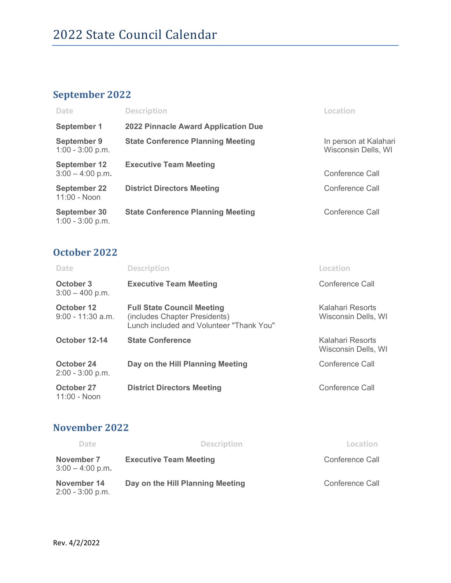## **September 2022**

| Date                                      | <b>Description</b>                         | Location                                     |
|-------------------------------------------|--------------------------------------------|----------------------------------------------|
| <b>September 1</b>                        | <b>2022 Pinnacle Award Application Due</b> |                                              |
| <b>September 9</b><br>$1:00 - 3:00$ p.m.  | <b>State Conference Planning Meeting</b>   | In person at Kalahari<br>Wisconsin Dells, WI |
| <b>September 12</b><br>$3:00 - 4:00$ p.m. | <b>Executive Team Meeting</b>              | Conference Call                              |
| <b>September 22</b><br>11:00 - Noon       | <b>District Directors Meeting</b>          | Conference Call                              |
| September 30<br>$1:00 - 3:00$ p.m.        | <b>State Conference Planning Meeting</b>   | Conference Call                              |

#### **October 2022**

| Date                              | <b>Description</b>                                                                                             | Location                                |
|-----------------------------------|----------------------------------------------------------------------------------------------------------------|-----------------------------------------|
| October 3<br>$3:00 - 400$ p.m.    | <b>Executive Team Meeting</b>                                                                                  | Conference Call                         |
| October 12<br>$9:00 - 11:30$ a.m. | <b>Full State Council Meeting</b><br>(includes Chapter Presidents)<br>Lunch included and Volunteer "Thank You" | Kalahari Resorts<br>Wisconsin Dells, WI |
| October 12-14                     | <b>State Conference</b>                                                                                        | Kalahari Resorts<br>Wisconsin Dells, WI |
| October 24<br>$2:00 - 3:00$ p.m.  | Day on the Hill Planning Meeting                                                                               | Conference Call                         |
| October 27<br>11:00 - Noon        | <b>District Directors Meeting</b>                                                                              | Conference Call                         |

#### **November 2022**

| Date                              | <b>Description</b>               | Location        |
|-----------------------------------|----------------------------------|-----------------|
| November 7<br>$3:00 - 4:00$ p.m.  | <b>Executive Team Meeting</b>    | Conference Call |
| November 14<br>$2:00 - 3:00$ p.m. | Day on the Hill Planning Meeting | Conference Call |